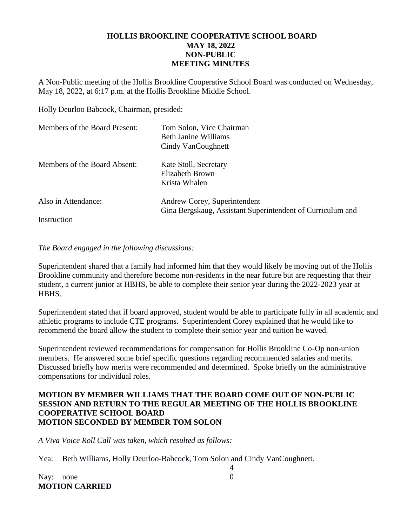## **HOLLIS BROOKLINE COOPERATIVE SCHOOL BOARD MAY 18, 2022 NON-PUBLIC MEETING MINUTES**

A Non-Public meeting of the Hollis Brookline Cooperative School Board was conducted on Wednesday, May 18, 2022, at 6:17 p.m. at the Hollis Brookline Middle School.

Holly Deurloo Babcock, Chairman, presided:

| Members of the Board Present: | Tom Solon, Vice Chairman<br>Beth Janine Williams<br>Cindy VanCoughnett                     |
|-------------------------------|--------------------------------------------------------------------------------------------|
| Members of the Board Absent:  | Kate Stoll, Secretary<br>Elizabeth Brown<br>Krista Whalen                                  |
| Also in Attendance:           | Andrew Corey, Superintendent<br>Gina Bergskaug, Assistant Superintendent of Curriculum and |
| Instruction                   |                                                                                            |

*The Board engaged in the following discussions:*

Superintendent shared that a family had informed him that they would likely be moving out of the Hollis Brookline community and therefore become non-residents in the near future but are requesting that their student, a current junior at HBHS, be able to complete their senior year during the 2022-2023 year at HBHS.

Superintendent stated that if board approved, student would be able to participate fully in all academic and athletic programs to include CTE programs. Superintendent Corey explained that he would like to recommend the board allow the student to complete their senior year and tuition be waved.

Superintendent reviewed recommendations for compensation for Hollis Brookline Co-Op non-union members. He answered some brief specific questions regarding recommended salaries and merits. Discussed briefly how merits were recommended and determined. Spoke briefly on the administrative compensations for individual roles.

## **MOTION BY MEMBER WILLIAMS THAT THE BOARD COME OUT OF NON-PUBLIC SESSION AND RETURN TO THE REGULAR MEETING OF THE HOLLIS BROOKLINE COOPERATIVE SCHOOL BOARD MOTION SECONDED BY MEMBER TOM SOLON**

4

*A Viva Voice Roll Call was taken, which resulted as follows:*

Yea: Beth Williams, Holly Deurloo-Babcock, Tom Solon and Cindy VanCoughnett.

| Nay: none |                       |  |
|-----------|-----------------------|--|
|           | <b>MOTION CARRIED</b> |  |